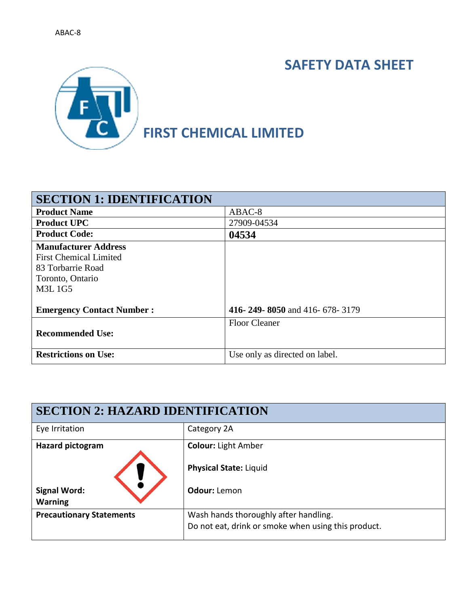# **SAFETY DATA SHEET**



| <b>SECTION 1: IDENTIFICATION</b> |                                |
|----------------------------------|--------------------------------|
| <b>Product Name</b>              | ABAC-8                         |
| <b>Product UPC</b>               | 27909-04534                    |
| <b>Product Code:</b>             | 04534                          |
| <b>Manufacturer Address</b>      |                                |
| <b>First Chemical Limited</b>    |                                |
| 83 Torbarrie Road                |                                |
| Toronto, Ontario                 |                                |
| <b>M3L1G5</b>                    |                                |
|                                  |                                |
| <b>Emergency Contact Number:</b> | 416-249-8050 and 416-678-3179  |
|                                  | <b>Floor Cleaner</b>           |
| <b>Recommended Use:</b>          |                                |
| <b>Restrictions on Use:</b>      | Use only as directed on label. |
|                                  |                                |

| <b>SECTION 2: HAZARD IDENTIFICATION</b> |                                                     |  |
|-----------------------------------------|-----------------------------------------------------|--|
| Eye Irritation                          | Category 2A                                         |  |
| <b>Hazard pictogram</b>                 | <b>Colour: Light Amber</b>                          |  |
|                                         | <b>Physical State: Liquid</b>                       |  |
| <b>Signal Word:</b><br><b>Warning</b>   | Odour: Lemon                                        |  |
| <b>Precautionary Statements</b>         | Wash hands thoroughly after handling.               |  |
|                                         | Do not eat, drink or smoke when using this product. |  |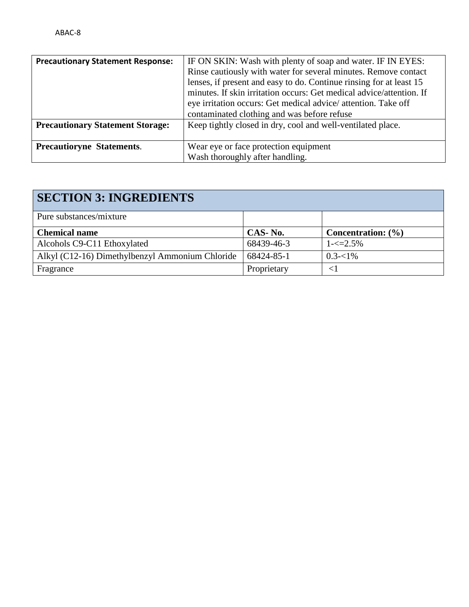| <b>Precautionary Statement Response:</b> | IF ON SKIN: Wash with plenty of soap and water. IF IN EYES:<br>Rinse cautiously with water for several minutes. Remove contact<br>lenses, if present and easy to do. Continue rinsing for at least 15<br>minutes. If skin irritation occurs: Get medical advice/attention. If<br>eye irritation occurs: Get medical advice/attention. Take off |
|------------------------------------------|------------------------------------------------------------------------------------------------------------------------------------------------------------------------------------------------------------------------------------------------------------------------------------------------------------------------------------------------|
|                                          | contaminated clothing and was before refuse                                                                                                                                                                                                                                                                                                    |
| <b>Precautionary Statement Storage:</b>  | Keep tightly closed in dry, cool and well-ventilated place.                                                                                                                                                                                                                                                                                    |
| <b>Precautioryne Statements.</b>         | Wear eye or face protection equipment<br>Wash thoroughly after handling.                                                                                                                                                                                                                                                                       |

| <b>SECTION 3: INGREDIENTS</b>                   |             |                        |
|-------------------------------------------------|-------------|------------------------|
| Pure substances/mixture                         |             |                        |
| <b>Chemical name</b>                            | CAS-No.     | Concentration: $(\% )$ |
| Alcohols C9-C11 Ethoxylated                     | 68439-46-3  | $1 - \le 2.5\%$        |
| Alkyl (C12-16) Dimethylbenzyl Ammonium Chloride | 68424-85-1  | $0.3 - 1\%$            |
| Fragrance                                       | Proprietary | $\leq$                 |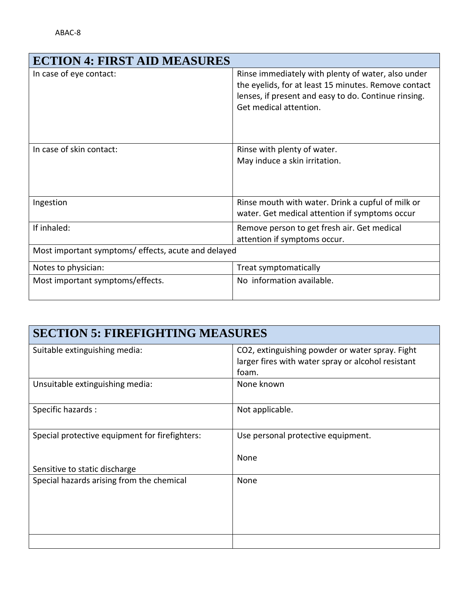| <b>ECTION 4: FIRST AID MEASURES</b>                 |                                                                                                                                                                                              |
|-----------------------------------------------------|----------------------------------------------------------------------------------------------------------------------------------------------------------------------------------------------|
| In case of eye contact:                             | Rinse immediately with plenty of water, also under<br>the eyelids, for at least 15 minutes. Remove contact<br>lenses, if present and easy to do. Continue rinsing.<br>Get medical attention. |
| In case of skin contact:                            | Rinse with plenty of water.<br>May induce a skin irritation.                                                                                                                                 |
| Ingestion                                           | Rinse mouth with water. Drink a cupful of milk or<br>water. Get medical attention if symptoms occur                                                                                          |
| If inhaled:                                         | Remove person to get fresh air. Get medical<br>attention if symptoms occur.                                                                                                                  |
| Most important symptoms/ effects, acute and delayed |                                                                                                                                                                                              |
| Notes to physician:                                 | Treat symptomatically                                                                                                                                                                        |
| Most important symptoms/effects.                    | No information available.                                                                                                                                                                    |

| <b>SECTION 5: FIREFIGHTING MEASURES</b>        |                                                                                                                |  |
|------------------------------------------------|----------------------------------------------------------------------------------------------------------------|--|
| Suitable extinguishing media:                  | CO2, extinguishing powder or water spray. Fight<br>larger fires with water spray or alcohol resistant<br>foam. |  |
| Unsuitable extinguishing media:                | None known                                                                                                     |  |
| Specific hazards:                              | Not applicable.                                                                                                |  |
| Special protective equipment for firefighters: | Use personal protective equipment.<br>None                                                                     |  |
| Sensitive to static discharge                  |                                                                                                                |  |
| Special hazards arising from the chemical      | None                                                                                                           |  |
|                                                |                                                                                                                |  |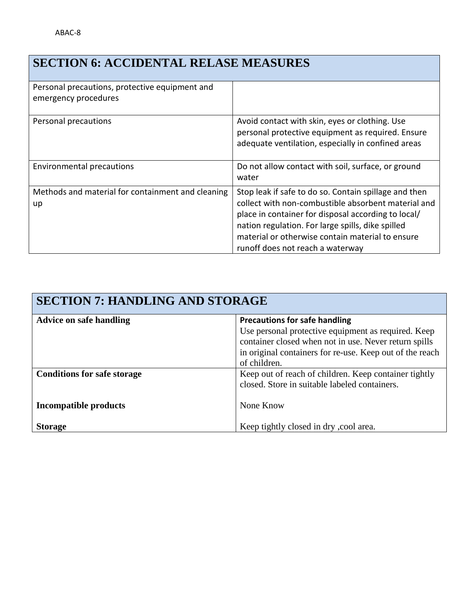# **SECTION 6: ACCIDENTAL RELASE MEASURES**

| Personal precautions, protective equipment and<br>emergency procedures |                                                                                                                                                                                                                                                                                                                  |
|------------------------------------------------------------------------|------------------------------------------------------------------------------------------------------------------------------------------------------------------------------------------------------------------------------------------------------------------------------------------------------------------|
| Personal precautions                                                   | Avoid contact with skin, eyes or clothing. Use<br>personal protective equipment as required. Ensure<br>adequate ventilation, especially in confined areas                                                                                                                                                        |
| Environmental precautions                                              | Do not allow contact with soil, surface, or ground<br>water                                                                                                                                                                                                                                                      |
| Methods and material for containment and cleaning<br>up                | Stop leak if safe to do so. Contain spillage and then<br>collect with non-combustible absorbent material and<br>place in container for disposal according to local/<br>nation regulation. For large spills, dike spilled<br>material or otherwise contain material to ensure<br>runoff does not reach a waterway |

| <b>SECTION 7: HANDLING AND STORAGE</b> |                                                                                                                                                                                          |  |
|----------------------------------------|------------------------------------------------------------------------------------------------------------------------------------------------------------------------------------------|--|
| <b>Advice on safe handling</b>         | <b>Precautions for safe handling</b>                                                                                                                                                     |  |
|                                        | Use personal protective equipment as required. Keep<br>container closed when not in use. Never return spills<br>in original containers for re-use. Keep out of the reach<br>of children. |  |
| <b>Conditions for safe storage</b>     | Keep out of reach of children. Keep container tightly                                                                                                                                    |  |
|                                        | closed. Store in suitable labeled containers.                                                                                                                                            |  |
| <b>Incompatible products</b>           | None Know                                                                                                                                                                                |  |
| <b>Storage</b>                         | Keep tightly closed in dry, cool area.                                                                                                                                                   |  |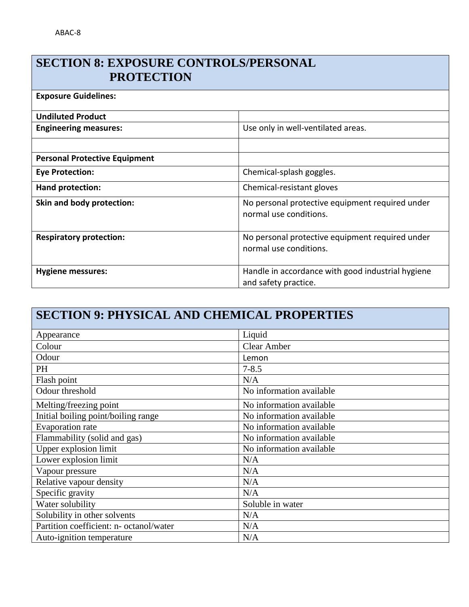#### **SECTION 8: EXPOSURE CONTROLS/PERSONAL PROTECTION**

| <b>Exposure Guidelines:</b>          |                                                                           |
|--------------------------------------|---------------------------------------------------------------------------|
| <b>Undiluted Product</b>             |                                                                           |
| <b>Engineering measures:</b>         | Use only in well-ventilated areas.                                        |
|                                      |                                                                           |
| <b>Personal Protective Equipment</b> |                                                                           |
| <b>Eye Protection:</b>               | Chemical-splash goggles.                                                  |
| Hand protection:                     | Chemical-resistant gloves                                                 |
| Skin and body protection:            | No personal protective equipment required under<br>normal use conditions. |
| <b>Respiratory protection:</b>       | No personal protective equipment required under<br>normal use conditions. |
| <b>Hygiene messures:</b>             | Handle in accordance with good industrial hygiene<br>and safety practice. |

# **SECTION 9: PHYSICAL AND CHEMICAL PROPERTIES**

| Appearance                              | Liquid                   |
|-----------------------------------------|--------------------------|
| Colour                                  | <b>Clear Amber</b>       |
| Odour                                   | Lemon                    |
| PH                                      | $7 - 8.5$                |
| Flash point                             | N/A                      |
| Odour threshold                         | No information available |
| Melting/freezing point                  | No information available |
| Initial boiling point/boiling range     | No information available |
| <b>Evaporation</b> rate                 | No information available |
| Flammability (solid and gas)            | No information available |
| Upper explosion limit                   | No information available |
| Lower explosion limit                   | N/A                      |
| Vapour pressure                         | N/A                      |
| Relative vapour density                 | N/A                      |
| Specific gravity                        | N/A                      |
| Water solubility                        | Soluble in water         |
| Solubility in other solvents            | N/A                      |
| Partition coefficient: n- octanol/water | N/A                      |
| Auto-ignition temperature               | N/A                      |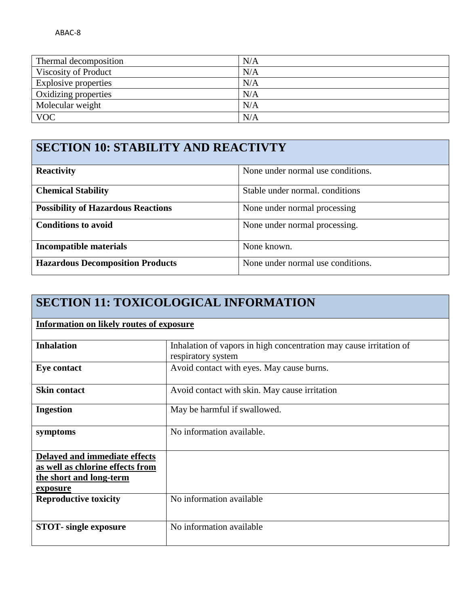| Thermal decomposition | N/A |
|-----------------------|-----|
| Viscosity of Product  | N/A |
| Explosive properties  | N/A |
| Oxidizing properties  | N/A |
| Molecular weight      | N/A |
| <b>VOC</b>            | N/A |

## **SECTION 10: STABILITY AND REACTIVTY**

| <b>Reactivity</b>                         | None under normal use conditions. |
|-------------------------------------------|-----------------------------------|
| <b>Chemical Stability</b>                 | Stable under normal. conditions   |
| <b>Possibility of Hazardous Reactions</b> | None under normal processing      |
| <b>Conditions to avoid</b>                | None under normal processing.     |
| <b>Incompatible materials</b>             | None known.                       |
| <b>Hazardous Decomposition Products</b>   | None under normal use conditions. |

# **SECTION 11: TOXICOLOGICAL INFORMATION**

| <b>Information on likely routes of exposure</b>                                                          |                                                                                          |  |  |  |  |  |
|----------------------------------------------------------------------------------------------------------|------------------------------------------------------------------------------------------|--|--|--|--|--|
| <b>Inhalation</b>                                                                                        | Inhalation of vapors in high concentration may cause irritation of<br>respiratory system |  |  |  |  |  |
| <b>Eye contact</b>                                                                                       | Avoid contact with eyes. May cause burns.                                                |  |  |  |  |  |
| <b>Skin contact</b>                                                                                      | Avoid contact with skin. May cause irritation                                            |  |  |  |  |  |
| <b>Ingestion</b>                                                                                         | May be harmful if swallowed.                                                             |  |  |  |  |  |
| symptoms                                                                                                 | No information available.                                                                |  |  |  |  |  |
| Delayed and immediate effects<br>as well as chlorine effects from<br>the short and long-term<br>exposure |                                                                                          |  |  |  |  |  |
| <b>Reproductive toxicity</b>                                                                             | No information available                                                                 |  |  |  |  |  |
| <b>STOT</b> -single exposure                                                                             | No information available                                                                 |  |  |  |  |  |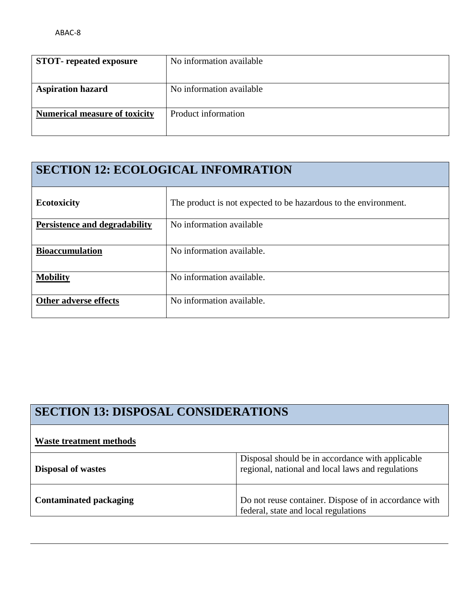| <b>STOT-</b> repeated exposure       | No information available |
|--------------------------------------|--------------------------|
| <b>Aspiration hazard</b>             | No information available |
| <b>Numerical measure of toxicity</b> | Product information      |

## **SECTION 12: ECOLOGICAL INFOMRATION**

| <b>Ecotoxicity</b>                   | The product is not expected to be hazardous to the environment. |
|--------------------------------------|-----------------------------------------------------------------|
| <b>Persistence and degradability</b> | No information available                                        |
| <b>Bioaccumulation</b>               | No information available.                                       |
| <b>Mobility</b>                      | No information available.                                       |
| Other adverse effects                | No information available.                                       |

| <b>SECTION 13: DISPOSAL CONSIDERATIONS</b> |                                                                                                       |  |  |  |
|--------------------------------------------|-------------------------------------------------------------------------------------------------------|--|--|--|
| <b>Waste treatment methods</b>             |                                                                                                       |  |  |  |
| <b>Disposal of wastes</b>                  | Disposal should be in accordance with applicable<br>regional, national and local laws and regulations |  |  |  |
| <b>Contaminated packaging</b>              | Do not reuse container. Dispose of in accordance with<br>federal, state and local regulations         |  |  |  |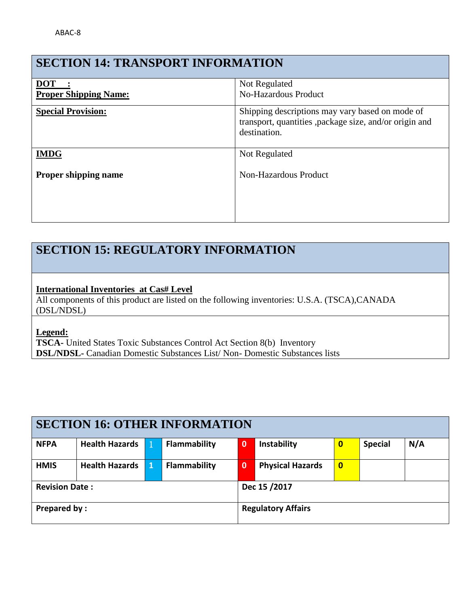### **SECTION 14: TRANSPORT INFORMATION**

| <b>DOT</b>                   | Not Regulated                                                                                                              |
|------------------------------|----------------------------------------------------------------------------------------------------------------------------|
| <b>Proper Shipping Name:</b> | <b>No-Hazardous Product</b>                                                                                                |
| <b>Special Provision:</b>    | Shipping descriptions may vary based on mode of<br>transport, quantities , package size, and/or origin and<br>destination. |
| <b>IMDG</b>                  | Not Regulated                                                                                                              |
| Proper shipping name         | Non-Hazardous Product                                                                                                      |

### **SECTION 15: REGULATORY INFORMATION**

#### **International Inventories at Cas# Level**

All components of this product are listed on the following inventories: U.S.A. (TSCA),CANADA (DSL/NDSL)

**Legend:** 

**TSCA-** United States Toxic Substances Control Act Section 8(b) Inventory **DSL/NDSL-** Canadian Domestic Substances List/ Non- Domestic Substances lists

| <b>SECTION 16: OTHER INFORMATION</b> |                       |                           |                     |             |                         |              |                |     |
|--------------------------------------|-----------------------|---------------------------|---------------------|-------------|-------------------------|--------------|----------------|-----|
| <b>NFPA</b>                          | <b>Health Hazards</b> |                           | <b>Flammability</b> | $\mathbf 0$ | Instability             | $\bf{0}$     | <b>Special</b> | N/A |
| <b>HMIS</b>                          | <b>Health Hazards</b> | 1                         | Flammability        | $\mathbf 0$ | <b>Physical Hazards</b> | $\mathbf{0}$ |                |     |
| <b>Revision Date:</b>                |                       | Dec 15 /2017              |                     |             |                         |              |                |     |
| <b>Prepared by:</b>                  |                       | <b>Regulatory Affairs</b> |                     |             |                         |              |                |     |